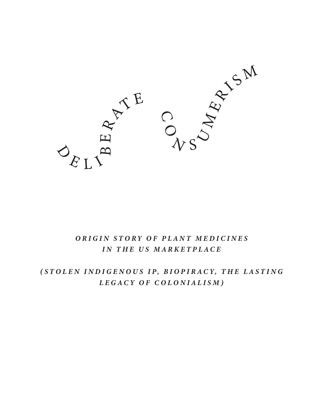

# ORIGIN STORY OF PLANT MEDICINES IN THE US MARKETPLACE

# (STOLEN INDIGENOUS IP, BIOPIRACY, THE LASTING LEGACY OF COLONIALISM)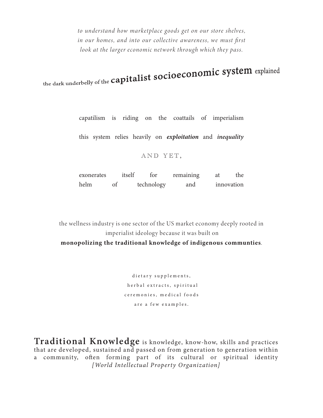to understand how marketplace goods get on our store shelves, in our homes, and into our collective awareness, we must first look at the larger economic network through which they pass.

the dark underbelly of the capitalist socioeconomic system explained

capatilism is riding on the coattails of imperialism

this system relies heavily on *exploitation* and *inequality* 

### AND YET,

| exonerates | itself | tor        | remaining | the        |
|------------|--------|------------|-----------|------------|
| helm       | of     | technology | and       | innovation |

the wellness industry is one sector of the US market economy deeply rooted in imperialist ideology because it was built on monopolizing the traditional knowledge of indigenous communties.

> dietary supplements, herbal extracts, spiritual ceremonies, medical foods are a few examples.

Traditional Knowledge is knowledge, know-how, skills and practices that are developed, sustained and passed on from generation to generation within a community, often forming part of its cultural or spiritual identity [World Intellectual Property Organization]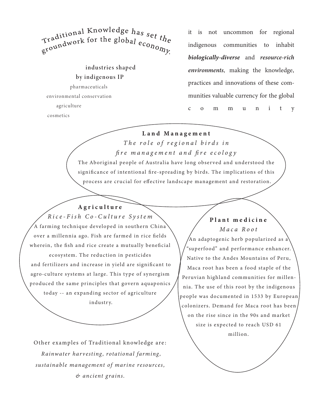Traditional Knowledge has set the Tradition for the global  $_{e_{C_{O_{n_{O_{N_{y}}}}}}}$ 

industries shaped by indigenous IP

pharmaceuticals environmental conservation agriculture cosmetics

it is not uncommon for regional communities to indigenous inhabit biologically-diverse and resource-rich environments, making the knowledge, practices and innovations of these communities valuable currency for the global m  $m$  $\mathbf u$  $\mathbf n$  $\mathbf{i}$  $-t$  $\mathsf{C}$  $\Omega$  $\mathbf{y}$ 

### Land Management

The role of regional birds in fire management and fire ecology

The Aboriginal people of Australia have long observed and understood the significance of intentional fire-spreading by birds. The implications of this process are crucial for effective landscape management and restoration.

Agriculture Rice-Fish Co-Culture System  $\overleftrightarrow{A}$  farming technique developed in southern China) over a millennia ago. Fish are farmed in rice fields wherein, the fish and rice create a mutually beneficial ecosystem. The reduction in pesticides and fertilizers and increase in yield are significant to agro-culture systems at large. This type of synergism produced the same principles that govern aquaponics today -- an expanding sector of agriculture industry.

Other examples of Traditional knowledge are: Rainwater harvesting, rotational farming, sustainable management of marine resources, & ancient grains.

## Plant medicine Maca Root

An adaptogenic herb popularized as a "superfood" and performance enhancer. Native to the Andes Mountains of Peru, Maca root has been a food staple of the Peruvian highland communities for millennia. The use of this root by the indigenous people was documented in 1533 by European colonizers. Demand for Maca root has been on the rise since in the 90s and market size is expected to reach USD 61 million.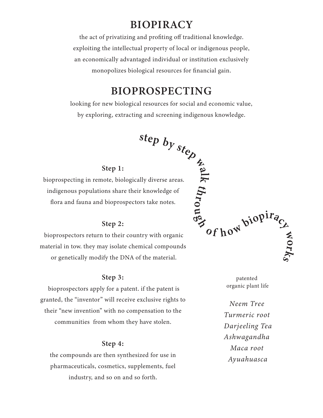# **BIOPIRACY**

the act of privatizing and profiting off traditional knowledge. exploiting the intellectual property of local or indigenous people, an economically advantaged individual or institution exclusively monopolizes biological resources for financial gain.

# **BIOPROSPECTING**

 $\sec A$ <br>
and screenin<br>
step by  $st_{\cos A}$ <br>  $\sec A$ <br>  $\sec A$ <br>  $\sec A$ <br>  $\sec A$ <br>  $\sec A$ <br>  $\sec B$ <br>  $\sec B$ <br>  $\sec B$ <br>  $\sec C$ <br>  $\sec C$ <br>  $\sec C$ <br>  $\sec A$ <br>  $\sec C$ <br>  $\sec C$ <br>  $\sec C$ <br>  $\sec C$ <br>  $\sec C$ <br>  $\sec C$ <br>  $\sec C$ <br>  $\sec C$ <br>  $\sec C$ <br>  $\sec C$ <br>  $\sec C$ <br>  $\sec C$ <br>  $\sec C$ <br>  $\sec C$ <br> looking for new biological resources for social and economic value, by exploring, extracting and screening indigenous knowledge.

### Step 1:

bioprospecting in remote, biologically diverse areas. indigenous populations share their knowledge of flora and fauna and bioprospectors take notes.

## Step 2:

bioprospectors return to their country with organic material in tow. they may isolate chemical compounds or genetically modify the DNA of the material.

### Step 3:

bioprospectors apply for a patent. if the patent is granted, the "inventor" will receive exclusive rights to their "new invention" with no compensation to the communities from whom they have stolen.

### Step 4:

the compounds are then synthesized for use in pharmaceuticals, cosmetics, supplements, fuel industry, and so on and so forth.

of how biopira **SANON** 

> patented organic plant life

Neem Tree Turmeric root Darjeeling Tea Ashwagandha Maca root Ayuahuasca